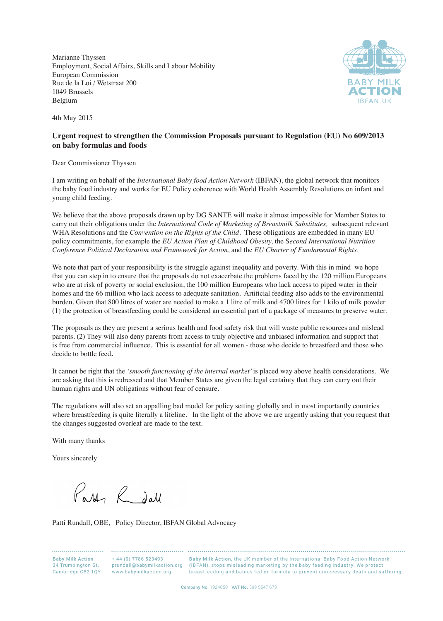Marianne Thyssen Employment, Social Affairs, Skills and Labour Mobility European Commission Rue de la Loi / Wetstraat 200 1049 Brussels Belgium



4th May 2015

## **Urgent request to strengthen the Commission Proposals pursuant to Regulation (EU) No 609/2013 on baby formulas and foods**

Dear Commissioner Thyssen

I am writing on behalf of the *International Baby food Action Network* (IBFAN), the global network that monitors the baby food industry and works for EU Policy coherence with World Health Assembly Resolutions on infant and young child feeding.

We believe that the above proposals drawn up by DG SANTE will make it almost impossible for Member States to carry out their obligations under the *International Code of Marketing of Breastmilk Substitutes,* subsequent relevant WHA Resolutions and the *Convention on the Rights of the Child.* These obligations are embedded in many EU policy commitments, for example the *EU Action Plan of Childhood Obesity,* the S*econd International Nutrition Conference Political Declaration and Framework for Action*, and the *EU Charter of Fundamental Rights.* 

We note that part of your responsibility is the struggle against inequality and poverty. With this in mind we hope that you can step in to ensure that the proposals do not exacerbate the problems faced by the 120 million Europeans who are at risk of poverty or social exclusion, the 100 million Europeans who lack access to piped water in their homes and the 66 million who lack access to adequate sanitation. Artificial feeding also adds to the environmental burden. Given that 800 litres of water are needed to make a 1 litre of milk and 4700 litres for 1 kilo of milk powder (1) the protection of breastfeeding could be considered an essential part of a package of measures to preserve water.

The proposals as they are present a serious health and food safety risk that will waste public resources and mislead parents. (2) They will also deny parents from access to truly objective and unbiased information and support that is free from commercial influence. This is essential for all women - those who decide to breastfeed and those who decide to bottle feed**.**

It cannot be right that the *'smooth functioning of the internal market'* is placed way above health considerations. We are asking that this is redressed and that Member States are given the legal certainty that they can carry out their human rights and UN obligations without fear of censure.

The regulations will also set an appalling bad model for policy setting globally and in most importantly countries where breastfeeding is quite literally a lifeline. In the light of the above we are urgently asking that you request that the changes suggested overleaf are made to the text.

With many thanks

Yours sincerely

Party R dall

Patti Rundall, OBE, Policy Director, IBFAN Global Advocacy

Baby Milk Action 34 Trumpington St. Cambridge CB2 1QY

+ 44 (0) 7786 523493 www.babymilkaction.org

Baby Milk Action, the UK member of the International Baby Food Action Network prundall@babymilkaction.org (IBFAN), stops misleading marketing by the baby feeding industry. We protect breastfeeding and babies fed on formula to prevent unnecessary death and suffering.